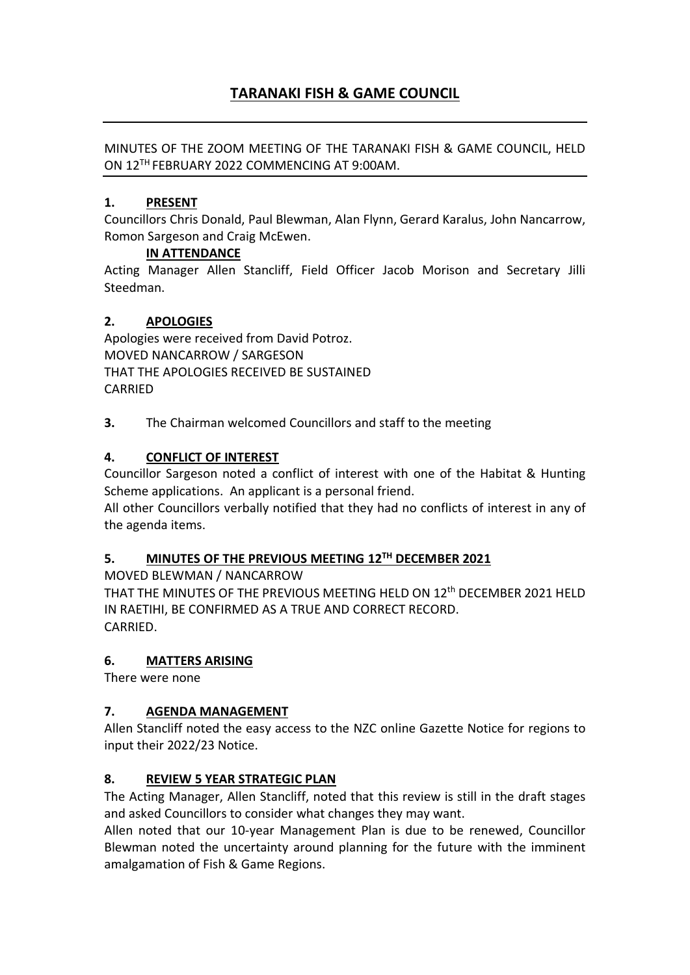# **TARANAKI FISH & GAME COUNCIL**

#### MINUTES OF THE ZOOM MEETING OF THE TARANAKI FISH & GAME COUNCIL, HELD ON 12TH FEBRUARY 2022 COMMENCING AT 9:00AM.

#### **1. PRESENT**

Councillors Chris Donald, Paul Blewman, Alan Flynn, Gerard Karalus, John Nancarrow, Romon Sargeson and Craig McEwen.

#### **IN ATTENDANCE**

Acting Manager Allen Stancliff, Field Officer Jacob Morison and Secretary Jilli Steedman.

#### **2. APOLOGIES**

Apologies were received from David Potroz. MOVED NANCARROW / SARGESON THAT THE APOLOGIES RECEIVED BE SUSTAINED CARRIED

**3.** The Chairman welcomed Councillors and staff to the meeting

#### **4. CONFLICT OF INTEREST**

Councillor Sargeson noted a conflict of interest with one of the Habitat & Hunting Scheme applications. An applicant is a personal friend.

All other Councillors verbally notified that they had no conflicts of interest in any of the agenda items.

### **5. MINUTES OF THE PREVIOUS MEETING 12TH DECEMBER 2021**

MOVED BLEWMAN / NANCARROW

THAT THE MINUTES OF THE PREVIOUS MEETING HELD ON 12th DECEMBER 2021 HELD IN RAETIHI, BE CONFIRMED AS A TRUE AND CORRECT RECORD. CARRIED.

#### **6. MATTERS ARISING**

There were none

#### **7. AGENDA MANAGEMENT**

Allen Stancliff noted the easy access to the NZC online Gazette Notice for regions to input their 2022/23 Notice.

#### **8. REVIEW 5 YEAR STRATEGIC PLAN**

The Acting Manager, Allen Stancliff, noted that this review is still in the draft stages and asked Councillors to consider what changes they may want.

Allen noted that our 10-year Management Plan is due to be renewed, Councillor Blewman noted the uncertainty around planning for the future with the imminent amalgamation of Fish & Game Regions.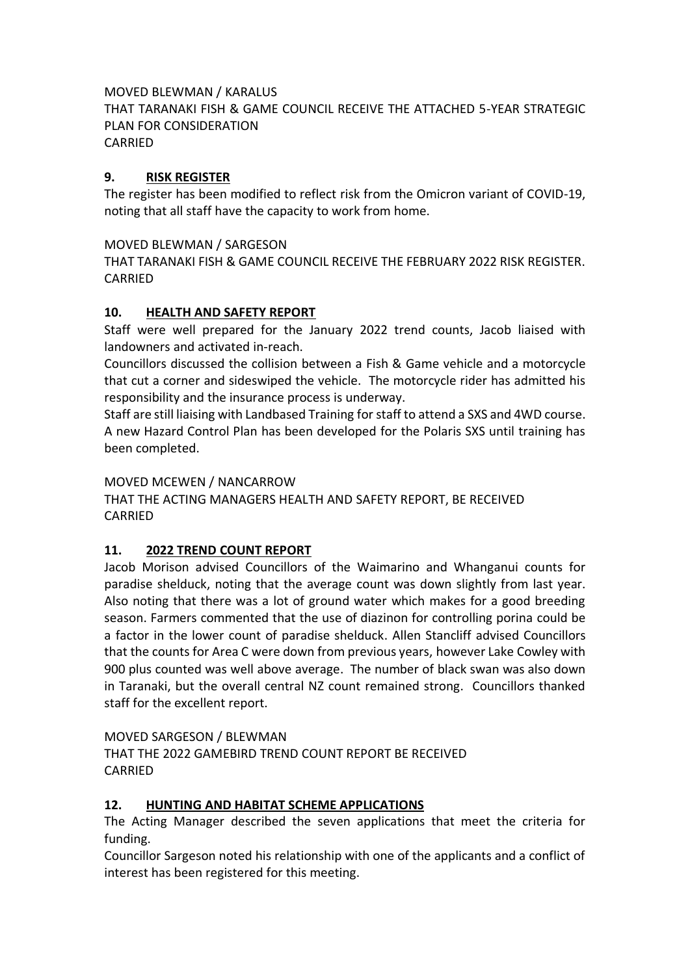#### MOVED BLEWMAN / KARALUS

THAT TARANAKI FISH & GAME COUNCIL RECEIVE THE ATTACHED 5-YEAR STRATEGIC PLAN FOR CONSIDERATION CARRIED

# **9. RISK REGISTER**

The register has been modified to reflect risk from the Omicron variant of COVID-19, noting that all staff have the capacity to work from home.

#### MOVED BLEWMAN / SARGESON

THAT TARANAKI FISH & GAME COUNCIL RECEIVE THE FEBRUARY 2022 RISK REGISTER. CARRIED

# **10. HEALTH AND SAFETY REPORT**

Staff were well prepared for the January 2022 trend counts, Jacob liaised with landowners and activated in-reach.

Councillors discussed the collision between a Fish & Game vehicle and a motorcycle that cut a corner and sideswiped the vehicle. The motorcycle rider has admitted his responsibility and the insurance process is underway.

Staff are still liaising with Landbased Training for staff to attend a SXS and 4WD course. A new Hazard Control Plan has been developed for the Polaris SXS until training has been completed.

#### MOVED MCEWEN / NANCARROW

THAT THE ACTING MANAGERS HEALTH AND SAFETY REPORT, BE RECEIVED CARRIED

#### **11. 2022 TREND COUNT REPORT**

Jacob Morison advised Councillors of the Waimarino and Whanganui counts for paradise shelduck, noting that the average count was down slightly from last year. Also noting that there was a lot of ground water which makes for a good breeding season. Farmers commented that the use of diazinon for controlling porina could be a factor in the lower count of paradise shelduck. Allen Stancliff advised Councillors that the counts for Area C were down from previous years, however Lake Cowley with 900 plus counted was well above average. The number of black swan was also down in Taranaki, but the overall central NZ count remained strong. Councillors thanked staff for the excellent report.

MOVED SARGESON / BLEWMAN

THAT THE 2022 GAMEBIRD TREND COUNT REPORT BE RECEIVED CARRIED

#### **12. HUNTING AND HABITAT SCHEME APPLICATIONS**

The Acting Manager described the seven applications that meet the criteria for funding.

Councillor Sargeson noted his relationship with one of the applicants and a conflict of interest has been registered for this meeting.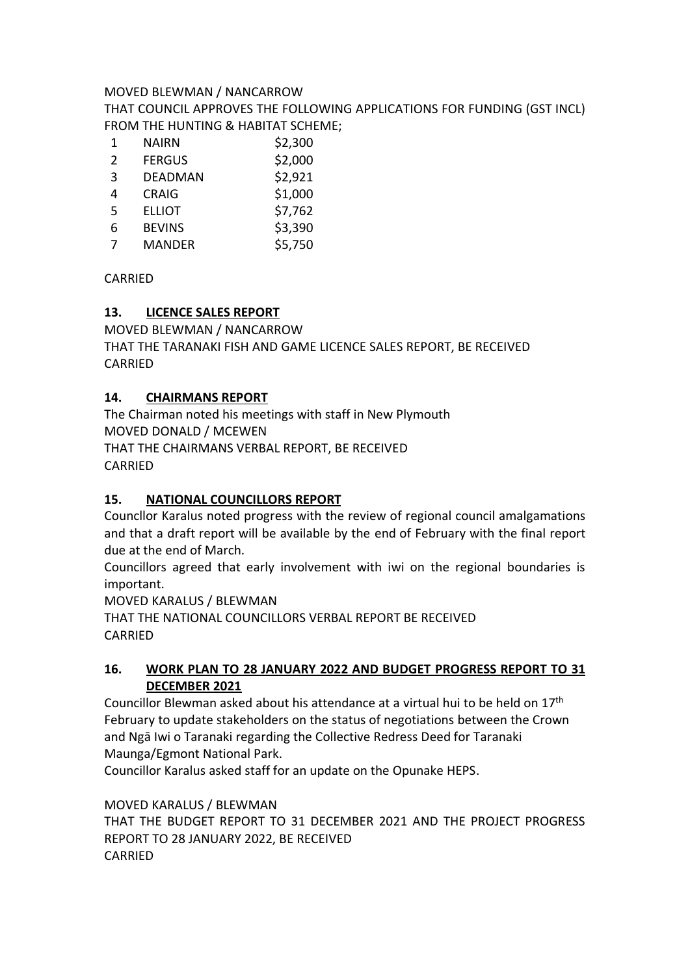#### MOVED BLEWMAN / NANCARROW

THAT COUNCIL APPROVES THE FOLLOWING APPLICATIONS FOR FUNDING (GST INCL) FROM THE HUNTING & HABITAT SCHEME;

| 1             | NAIRN         | \$2,300 |
|---------------|---------------|---------|
| $\mathcal{P}$ | <b>FERGUS</b> | \$2,000 |
| 3             | DEADMAN       | \$2,921 |
| 4             | <b>CRAIG</b>  | \$1,000 |
| 5             | <b>ELLIOT</b> | \$7,762 |
| 6             | <b>BEVINS</b> | \$3,390 |
| 7             | <b>MANDER</b> | \$5,750 |

CARRIED

#### **13. LICENCE SALES REPORT**

MOVED BLEWMAN / NANCARROW THAT THE TARANAKI FISH AND GAME LICENCE SALES REPORT, BE RECEIVED CARRIED

#### **14. CHAIRMANS REPORT**

The Chairman noted his meetings with staff in New Plymouth MOVED DONALD / MCEWEN THAT THE CHAIRMANS VERBAL REPORT, BE RECEIVED CARRIED

#### **15. NATIONAL COUNCILLORS REPORT**

Councllor Karalus noted progress with the review of regional council amalgamations and that a draft report will be available by the end of February with the final report due at the end of March.

Councillors agreed that early involvement with iwi on the regional boundaries is important.

MOVED KARALUS / BLEWMAN

THAT THE NATIONAL COUNCILLORS VERBAL REPORT BE RECEIVED CARRIED

#### **16. WORK PLAN TO 28 JANUARY 2022 AND BUDGET PROGRESS REPORT TO 31 DECEMBER 2021**

Councillor Blewman asked about his attendance at a virtual hui to be held on 17<sup>th</sup> February to update stakeholders on the status of negotiations between the Crown and Ngā Iwi o Taranaki regarding the Collective Redress Deed for Taranaki Maunga/Egmont National Park.

Councillor Karalus asked staff for an update on the Opunake HEPS.

MOVED KARALUS / BLEWMAN

THAT THE BUDGET REPORT TO 31 DECEMBER 2021 AND THE PROJECT PROGRESS REPORT TO 28 JANUARY 2022, BE RECEIVED CARRIED